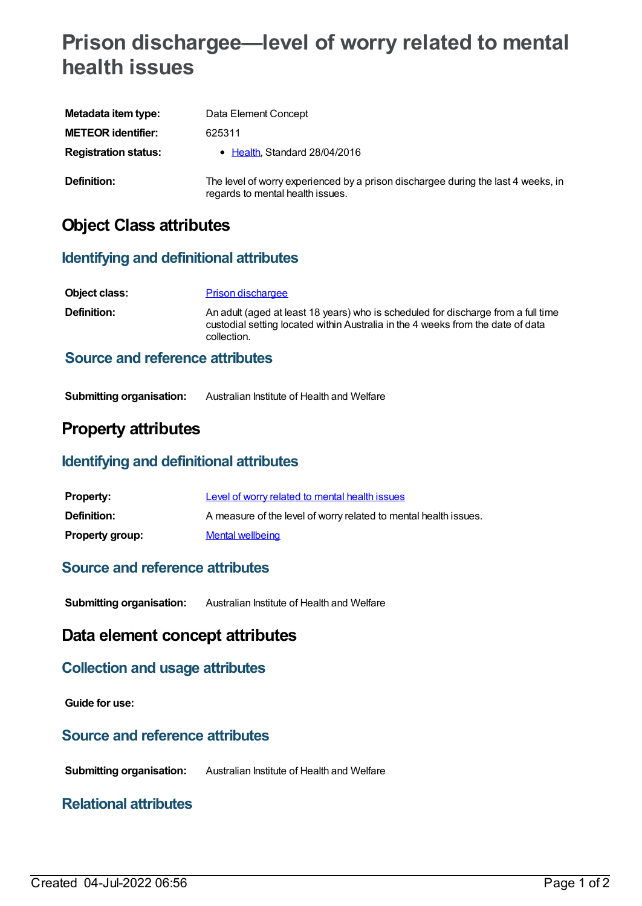# **Prison dischargee—level of worry related to mental health issues**

| Metadata item type:         | Data Element Concept                                                                                                  |
|-----------------------------|-----------------------------------------------------------------------------------------------------------------------|
| <b>METEOR identifier:</b>   | 625311                                                                                                                |
| <b>Registration status:</b> | $\bullet$ Health, Standard 28/04/2016                                                                                 |
| Definition:                 | The level of worry experienced by a prison dischargee during the last 4 weeks, in<br>regards to mental health issues. |

# **Object Class attributes**

### **Identifying and definitional attributes**

| Object class:                          | <b>Prison dischargee</b>                                                                                                                                                            |
|----------------------------------------|-------------------------------------------------------------------------------------------------------------------------------------------------------------------------------------|
| <b>Definition:</b>                     | An adult (aged at least 18 years) who is scheduled for discharge from a full time<br>custodial setting located within Australia in the 4 weeks from the date of data<br>collection. |
| <b>Source and reference attributes</b> |                                                                                                                                                                                     |

#### **Submitting organisation:** Australian Institute of Health and Welfare

# **Property attributes**

### **Identifying and definitional attributes**

| <b>Property:</b>       | Level of worry related to mental health issues                   |
|------------------------|------------------------------------------------------------------|
| Definition:            | A measure of the level of worry related to mental health issues. |
| <b>Property group:</b> | Mental wellbeing                                                 |

### **Source and reference attributes**

**Submitting organisation:** Australian Institute of Health and Welfare

## **Data element concept attributes**

### **Collection and usage attributes**

**Guide for use:**

### **Source and reference attributes**

**Submitting organisation:** Australian Institute of Health and Welfare

### **Relational attributes**